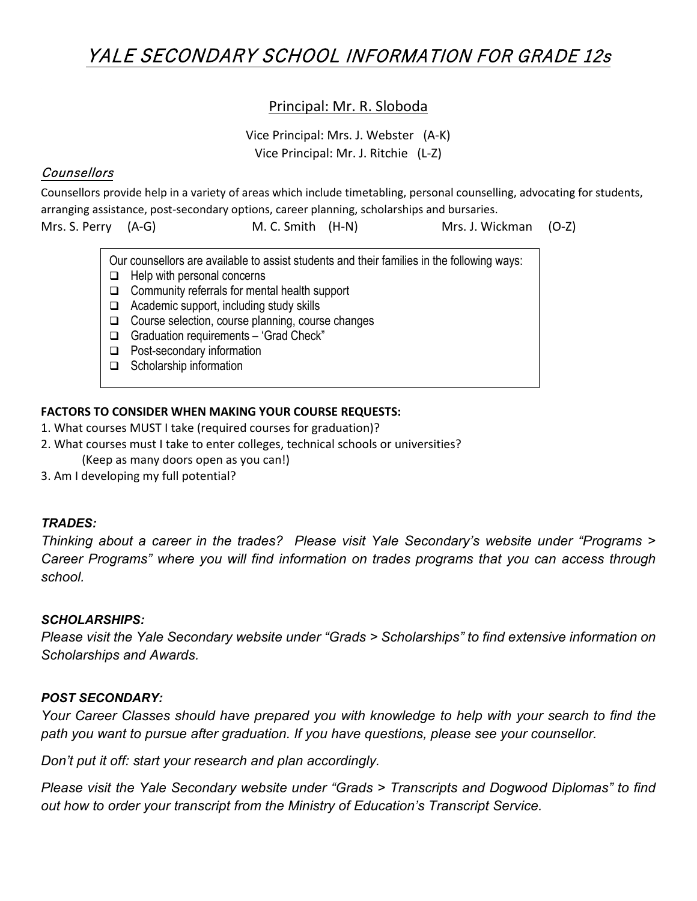# YALE SECONDARY SCHOOL INFORMATION FOR GRADE 12s

#### Principal: Mr. R. Sloboda

Vice Principal: Mrs. J. Webster (A-K) Vice Principal: Mr. J. Ritchie (L-Z)

#### **Counsellors**

Counsellors provide help in a variety of areas which include timetabling, personal counselling, advocating for students, arranging assistance, post-secondary options, career planning, scholarships and bursaries.

| Mrs. S. Perry (A-G) |                                                                                            |                             | M. C. Smith (H-N)                                          |  | Mrs. J. Wickman (O-Z) |  |
|---------------------|--------------------------------------------------------------------------------------------|-----------------------------|------------------------------------------------------------|--|-----------------------|--|
|                     | Our counsellors are available to assist students and their families in the following ways: |                             |                                                            |  |                       |  |
|                     | $\Box$                                                                                     | Help with personal concerns |                                                            |  |                       |  |
|                     |                                                                                            |                             | $\Box$ Community referrals for mental health support       |  |                       |  |
|                     |                                                                                            |                             | <u>ra - A saalaasin suusnaat Joshualise stuulu sliilla</u> |  |                       |  |

- $\Box$  Academic support, including study skills
- $\Box$  Course selection, course planning, course changes
- □ Graduation requirements 'Grad Check"
- □ Post-secondary information
- $\Box$  Scholarship information

#### **FACTORS TO CONSIDER WHEN MAKING YOUR COURSE REQUESTS:**

- 1. What courses MUST I take (required courses for graduation)?
- 2. What courses must I take to enter colleges, technical schools or universities?
	- (Keep as many doors open as you can!)
- 3. Am I developing my full potential?

#### *TRADES:*

*Thinking about a career in the trades? Please visit Yale Secondary's website under "Programs > Career Programs" where you will find information on trades programs that you can access through school.*

#### *SCHOLARSHIPS:*

*Please visit the Yale Secondary website under "Grads > Scholarships" to find extensive information on Scholarships and Awards.*

#### *POST SECONDARY:*

*Your Career Classes should have prepared you with knowledge to help with your search to find the path you want to pursue after graduation. If you have questions, please see your counsellor.*

*Don't put it off: start your research and plan accordingly.*

*Please visit the Yale Secondary website under "Grads > Transcripts and Dogwood Diplomas" to find out how to order your transcript from the Ministry of Education's Transcript Service.*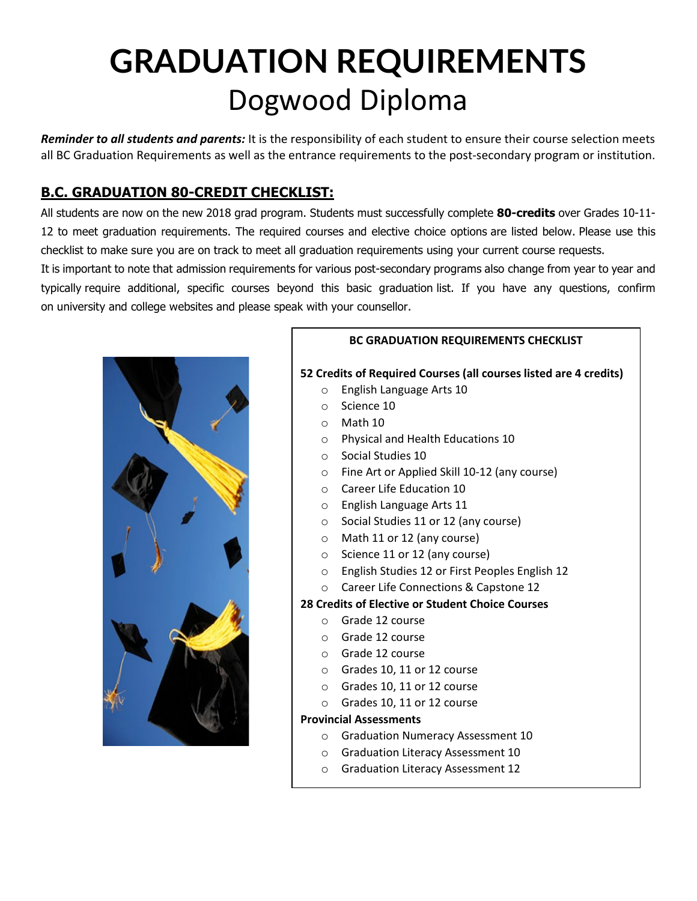# **GRADUATION REQUIREMENTS** Dogwood Diploma

*Reminder to all students and parents:* It is the responsibility of each student to ensure their course selection meets all BC Graduation Requirements as well as the entrance requirements to the post-secondary program or institution.

# **B.C. GRADUATION 80-CREDIT CHECKLIST:**

All students are now on the new 2018 grad program. Students must successfully complete **80-credits** over Grades 10-11- 12 to meet graduation requirements. The required courses and elective choice options are listed below. Please use this checklist to make sure you are on track to meet all graduation requirements using your current course requests.

It is important to note that admission requirements for various post-secondary programs also change from year to year and typically require additional, specific courses beyond this basic graduation list. If you have any questions, confirm on university and college websites and please speak with your counsellor.



# **BC GRADUATION REQUIREMENTS CHECKLIST 52 Credits of Required Courses (all courses listed are 4 credits)** o English Language Arts 10 o Science 10 o Math 10 o Physical and Health Educations 10 o Social Studies 10 o Fine Art or Applied Skill 10-12 (any course) o Career Life Education 10 o English Language Arts 11 o Social Studies 11 or 12 (any course) o Math 11 or 12 (any course) o Science 11 or 12 (any course) o English Studies 12 or First Peoples English 12 o Career Life Connections & Capstone 12 **28 Credits of Elective or Student Choice Courses** o Grade 12 course

- o Grade 12 course
- o Grade 12 course
- o Grades 10, 11 or 12 course
- o Grades 10, 11 or 12 course
- o Grades 10, 11 or 12 course

#### **Provincial Assessments**

- o Graduation Numeracy Assessment 10
- o Graduation Literacy Assessment 10
- o Graduation Literacy Assessment 12